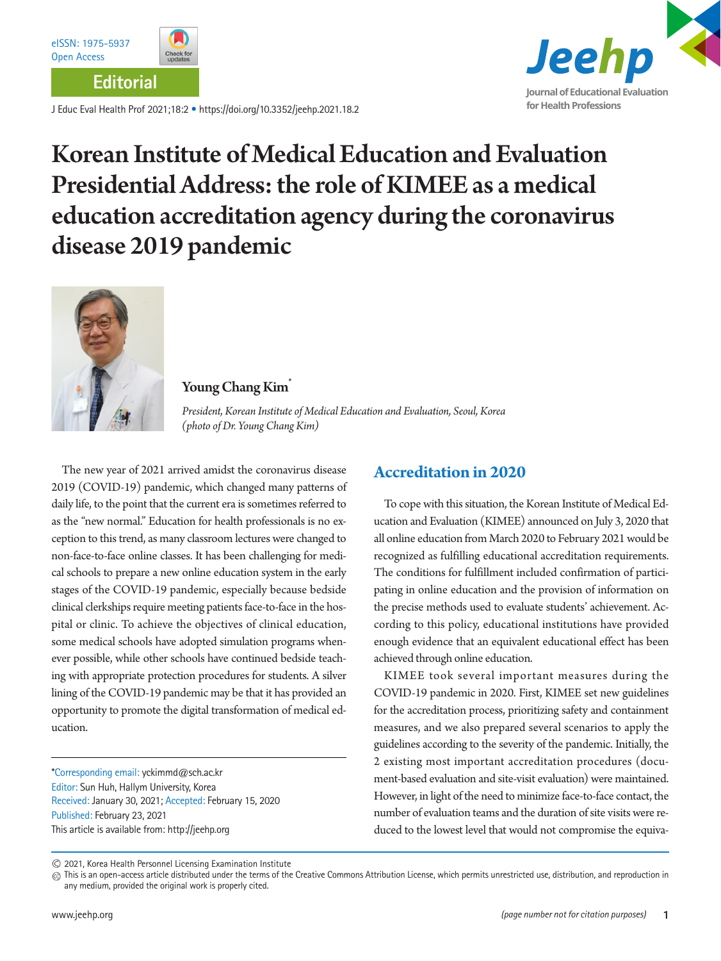



**Editorial**

J Educ Eval Health Prof 2021;18:2 • https://doi.org/10.3352/jeehp.2021.18.2



# Korean Institute of Medical Education and Evaluation Presidential Address: the role of KIMEE as a medical education accreditation agency during the coronavirus disease 2019 pandemic



#### Young Chang Kim<sup>\*</sup>

 *President, Korean Institute of Medical Education and Evaluation, Seoul, Korea (photo of Dr. Young Chang Kim)*

The new year of 2021 arrived amidst the coronavirus disease 2019 (COVID-19) pandemic, which changed many patterns of daily life, to the point that the current era is sometimes referred to as the "new normal." Education for health professionals is no exception to this trend, as many classroom lectures were changed to non-face-to-face online classes. It has been challenging for medical schools to prepare a new online education system in the early stages of the COVID-19 pandemic, especially because bedside clinical clerkships require meeting patients face-to-face in the hospital or clinic. To achieve the objectives of clinical education, some medical schools have adopted simulation programs whenever possible, while other schools have continued bedside teaching with appropriate protection procedures for students. A silver lining of the COVID-19 pandemic may be that it has provided an opportunity to promote the digital transformation of medical education.

\*Corresponding email: yckimmd@sch.ac.kr Editor: Sun Huh, Hallym University, Korea Received: January 30, 2021; Accepted: February 15, 2020 Published: February 23, 2021 This article is available from: http://jeehp.org

#### **Accreditation in 2020**

To cope with this situation, the Korean Institute of Medical Education and Evaluation (KIMEE) announced on July 3, 2020 that all online education from March 2020 to February 2021 would be recognized as fulfilling educational accreditation requirements. The conditions for fulfillment included confirmation of participating in online education and the provision of information on the precise methods used to evaluate students' achievement. According to this policy, educational institutions have provided enough evidence that an equivalent educational effect has been achieved through online education.

KIMEE took several important measures during the COVID-19 pandemic in 2020. First, KIMEE set new guidelines for the accreditation process, prioritizing safety and containment measures, and we also prepared several scenarios to apply the guidelines according to the severity of the pandemic. Initially, the 2 existing most important accreditation procedures (document-based evaluation and site-visit evaluation) were maintained. However, in light of the need to minimize face-to-face contact, the number of evaluation teams and the duration of site visits were reduced to the lowest level that would not compromise the equiva-

2021, Korea Health Personnel Licensing Examination Institute

 $\textcircled{\tiny{}}$  This is an open-access article distributed under the terms of the Creative Commons Attribution License, which permits unrestricted use, distribution, and reproduction in any medium, provided the original work is properly cited.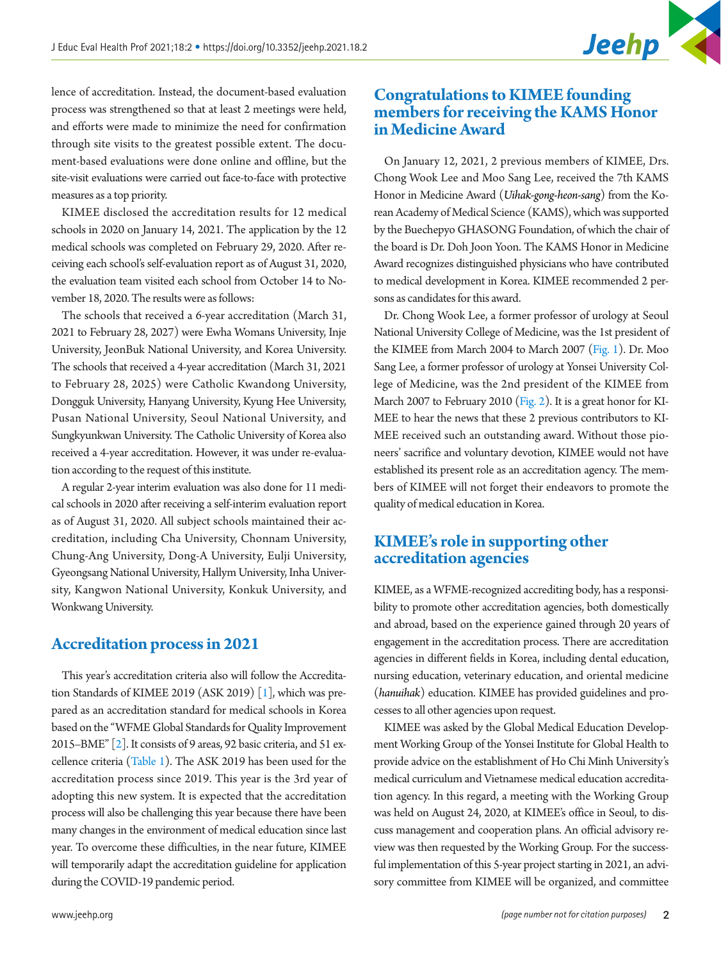

lence of accreditation. Instead, the document-based evaluation process was strengthened so that at least 2 meetings were held, and efforts were made to minimize the need for confirmation through site visits to the greatest possible extent. The document-based evaluations were done online and offline, but the site-visit evaluations were carried out face-to-face with protective measures as a top priority.

KIMEE disclosed the accreditation results for 12 medical schools in 2020 on January 14, 2021. The application by the 12 medical schools was completed on February 29, 2020. After receiving each school's self-evaluation report as of August 31, 2020, the evaluation team visited each school from October 14 to November 18, 2020. The results were as follows:

The schools that received a 6-year accreditation (March 31, 2021 to February 28, 2027) were Ewha Womans University, Inje University, JeonBuk National University, and Korea University. The schools that received a 4-year accreditation (March 31, 2021 to February 28, 2025) were Catholic Kwandong University, Dongguk University, Hanyang University, Kyung Hee University, Pusan National University, Seoul National University, and Sungkyunkwan University. The Catholic University of Korea also received a 4-year accreditation. However, it was under re-evaluation according to the request of this institute.

A regular 2-year interim evaluation was also done for 11 medical schools in 2020 after receiving a self-interim evaluation report as of August 31, 2020. All subject schools maintained their accreditation, including Cha University, Chonnam University, Chung-Ang University, Dong-A University, Eulji University, Gyeongsang National University, Hallym University, Inha University, Kangwon National University, Konkuk University, and Wonkwang University.

#### **Accreditation process in 2021**

This year's accreditation criteria also will follow the Accreditation Standards of KIMEE 2019 (ASK 2019) [\[1](#page-3-0)], which was prepared as an accreditation standard for medical schools in Korea based on the "WFME Global Standards for Quality Improvement 2015–BME" [\[2](#page-3-1)]. It consists of 9 areas, 92 basic criteria, and 51 excellence criteria [\(Table 1](#page-2-0)). The ASK 2019 has been used for the accreditation process since 2019. This year is the 3rd year of adopting this new system. It is expected that the accreditation process will also be challenging this year because there have been many changes in the environment of medical education since last year. To overcome these difficulties, in the near future, KIMEE will temporarily adapt the accreditation guideline for application during the COVID-19 pandemic period.

On January 12, 2021, 2 previous members of KIMEE, Drs. Chong Wook Lee and Moo Sang Lee, received the 7th KAMS Honor in Medicine Award (*Uihak-gong-heon-sang*) from the Korean Academy of Medical Science (KAMS), which was supported by the Buechepyo GHASONG Foundation, of which the chair of the board is Dr. Doh Joon Yoon. The KAMS Honor in Medicine Award recognizes distinguished physicians who have contributed to medical development in Korea. KIMEE recommended 2 persons as candidates for this award.

Dr. Chong Wook Lee, a former professor of urology at Seoul National University College of Medicine, was the 1st president of the KIMEE from March 2004 to March 2007 [\(Fig. 1\)](#page-3-2). Dr. Moo Sang Lee, a former professor of urology at Yonsei University College of Medicine, was the 2nd president of the KIMEE from March 2007 to February 2010 [\(Fig. 2](#page-3-3)). It is a great honor for KI-MEE to hear the news that these 2 previous contributors to KI-MEE received such an outstanding award. Without those pioneers' sacrifice and voluntary devotion, KIMEE would not have established its present role as an accreditation agency. The members of KIMEE will not forget their endeavors to promote the quality of medical education in Korea.

#### **KIMEE's role in supporting other accreditation agencies**

KIMEE, as a WFME-recognized accrediting body, has a responsibility to promote other accreditation agencies, both domestically and abroad, based on the experience gained through 20 years of engagement in the accreditation process. There are accreditation agencies in different fields in Korea, including dental education, nursing education, veterinary education, and oriental medicine (*hanuihak*) education. KIMEE has provided guidelines and processes to all other agencies upon request.

KIMEE was asked by the Global Medical Education Development Working Group of the Yonsei Institute for Global Health to provide advice on the establishment of Ho Chi Minh University's medical curriculum and Vietnamese medical education accreditation agency. In this regard, a meeting with the Working Group was held on August 24, 2020, at KIMEE's office in Seoul, to discuss management and cooperation plans. An official advisory review was then requested by the Working Group. For the successful implementation of this 5-year project starting in 2021, an advisory committee from KIMEE will be organized, and committee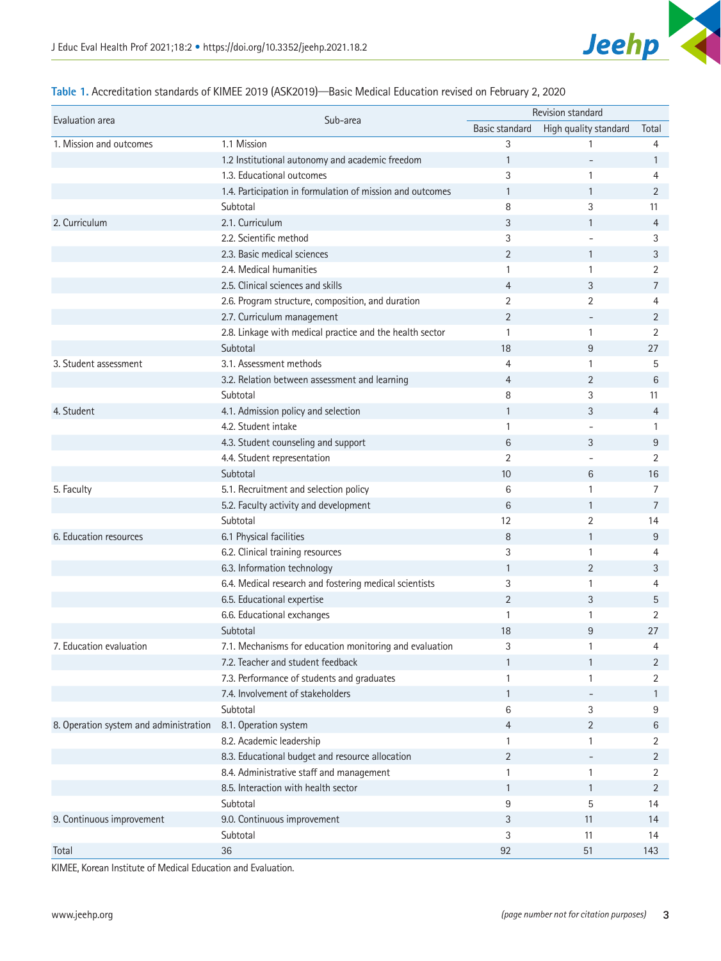

| Evaluation area                        | Sub-area                                                  | Revision standard |                       |                |
|----------------------------------------|-----------------------------------------------------------|-------------------|-----------------------|----------------|
|                                        |                                                           | Basic standard    | High quality standard | Total          |
| 1. Mission and outcomes                | 1.1 Mission                                               | 3                 | 1                     | 4              |
|                                        | 1.2 Institutional autonomy and academic freedom           | 1                 |                       | $\mathbf{1}$   |
|                                        | 1.3. Educational outcomes                                 | 3                 | $\mathbf{1}$          | 4              |
|                                        | 1.4. Participation in formulation of mission and outcomes | $\mathbf{1}$      | $\mathbf{1}$          | $\overline{2}$ |
|                                        | Subtotal                                                  | 8                 | 3                     | 11             |
| 2. Curriculum                          | 2.1. Curriculum                                           | 3                 | $\mathbf{1}$          | $\overline{4}$ |
|                                        | 2.2. Scientific method                                    | 3                 |                       | 3              |
|                                        | 2.3. Basic medical sciences                               | 2                 | 1                     | 3              |
|                                        | 2.4. Medical humanities                                   | 1                 | $\mathbf{1}$          | 2              |
|                                        | 2.5. Clinical sciences and skills                         | $\overline{4}$    | 3                     | $\overline{7}$ |
|                                        | 2.6. Program structure, composition, and duration         | 2                 | 2                     | 4              |
|                                        | 2.7. Curriculum management                                | $\overline{2}$    |                       | 2              |
|                                        | 2.8. Linkage with medical practice and the health sector  | 1                 | 1                     | $\overline{2}$ |
|                                        | Subtotal                                                  | 18                | 9                     | 27             |
| 3. Student assessment                  | 3.1. Assessment methods                                   | $\overline{4}$    | 1                     | 5              |
|                                        | 3.2. Relation between assessment and learning             | $\overline{4}$    | $\overline{2}$        | 6              |
|                                        | Subtotal                                                  | 8                 | 3                     | 11             |
| 4. Student                             | 4.1. Admission policy and selection                       | $\mathbf{1}$      | 3                     | $\overline{4}$ |
|                                        | 4.2. Student intake                                       | 1                 |                       | 1              |
|                                        | 4.3. Student counseling and support                       | 6                 | 3                     | 9              |
|                                        | 4.4. Student representation                               | $\overline{2}$    |                       | $\overline{2}$ |
|                                        | Subtotal                                                  | 10                | 6                     | 16             |
| 5. Faculty                             | 5.1. Recruitment and selection policy                     | 6                 | $\mathbf{1}$          | 7              |
|                                        | 5.2. Faculty activity and development                     | 6                 | $\mathbf{1}$          | $\overline{7}$ |
|                                        | Subtotal                                                  | 12                | 2                     | 14             |
| 6. Education resources                 | 6.1 Physical facilities                                   | 8                 | $\mathbf{1}$          | 9              |
|                                        | 6.2. Clinical training resources                          | 3                 | 1                     | 4              |
|                                        | 6.3. Information technology                               | $\mathbf{1}$      | $\overline{2}$        | 3              |
|                                        | 6.4. Medical research and fostering medical scientists    | 3                 | $\mathbf{1}$          | 4              |
|                                        | 6.5. Educational expertise                                | $\overline{2}$    | 3                     | 5              |
|                                        | 6.6. Educational exchanges                                | 1                 | $\mathbf{1}$          | 2              |
|                                        | Subtotal                                                  | 18                | 9                     | 27             |
| 7. Education evaluation                | 7.1. Mechanisms for education monitoring and evaluation   | 3                 | 1                     | $\overline{4}$ |
|                                        | 7.2. Teacher and student feedback                         | $\mathbf{1}$      | $\mathbf{1}$          | 2              |
|                                        | 7.3. Performance of students and graduates                | 1                 | 1                     | 2              |
|                                        | 7.4. Involvement of stakeholders                          | $\mathbf{1}$      |                       | 1              |
|                                        | Subtotal                                                  | 6                 | 3                     | 9              |
| 8. Operation system and administration | 8.1. Operation system                                     | 4                 | $\overline{2}$        | 6              |
|                                        | 8.2. Academic leadership                                  | 1                 | 1                     | 2              |
|                                        | 8.3. Educational budget and resource allocation           | $\overline{2}$    |                       | $\overline{2}$ |
|                                        | 8.4. Administrative staff and management                  | 1                 | 1                     | 2              |
|                                        | 8.5. Interaction with health sector                       | $\mathbf{1}$      | $\mathbf{1}$          | $\overline{2}$ |
|                                        | Subtotal                                                  | 9                 | 5                     | 14             |
| 9. Continuous improvement              | 9.0. Continuous improvement                               | 3                 | 11                    | 14             |
|                                        | Subtotal                                                  | 3                 | 11                    | 14             |
| Total                                  | 36                                                        | 92                | 51                    | 143            |
|                                        |                                                           |                   |                       |                |

#### <span id="page-2-0"></span>**Table 1.** Accreditation standards of KIMEE 2019 (ASK2019)―Basic Medical Education revised on February 2, 2020

KIMEE, Korean Institute of Medical Education and Evaluation.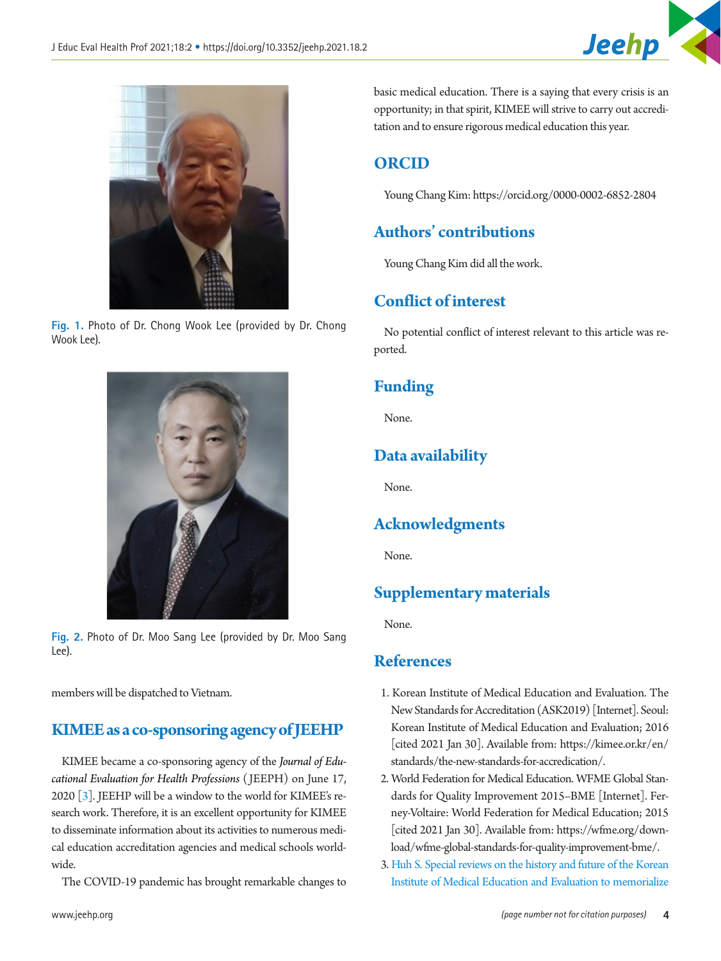

<span id="page-3-2"></span>

**Fig. 1.** Photo of Dr. Chong Wook Lee (provided by Dr. Chong Wook Lee).

<span id="page-3-3"></span>

**Fig. 2.** Photo of Dr. Moo Sang Lee (provided by Dr. Moo Sang Lee).

members will be dispatched to Vietnam.

#### **KIMEE as a co-sponsoring agency of JEEHP**

KIMEE became a co-sponsoring agency of the *Journal of Educational Evaluation for Health Professions* ( JEEPH) on June 17, 2020 [\[3\]](#page-3-4). JEEHP will be a window to the world for KIMEE's research work. Therefore, it is an excellent opportunity for KIMEE to disseminate information about its activities to numerous medical education accreditation agencies and medical schools worldwide.

The COVID-19 pandemic has brought remarkable changes to

basic medical education. There is a saying that every crisis is an opportunity; in that spirit, KIMEE will strive to carry out accreditation and to ensure rigorous medical education this year.

### **ORCID**

Young Chang Kim[: https://orcid.org/0000-0002-6852-280](http://orcid.org/0000-0002-6852-2804)4

## **Authors' contributions**

Young Chang Kim did all the work.

### **Conflict of interest**

No potential conflict of interest relevant to this article was reported.

### **Funding**

None.

# **Data availability**

None.

## **Acknowledgments**

None.

# **Supplementary materials**

None.

#### **References**

- <span id="page-3-0"></span>1. Korean Institute of Medical Education and Evaluation. The New Standards for Accreditation (ASK2019) [Internet]. Seoul: Korean Institute of Medical Education and Evaluation; 2016 [cited 2021 Jan 30]. Available from: https://kimee.or.kr/en/ standards/the-new-standards-for-accredication/.
- <span id="page-3-1"></span>2. World Federation for Medical Education. WFME Global Standards for Quality Improvement 2015–BME [Internet]. Ferney-Voltaire: World Federation for Medical Education; 2015 [cited 2021 Jan 30]. Available from: [https://wfme.org/down](https://wfme.org/download/wfme-global-standards-for-quality-improvement-bme/)[load/wfme-global-standards-for-quality-improvement-bme/.](https://wfme.org/download/wfme-global-standards-for-quality-improvement-bme/)
- <span id="page-3-4"></span>3. [Huh S. Special reviews on the history and future of the Korean](https://doi.org/10.3352/jeehp.2020.17.33)  [Institute of Medical Education and Evaluation to memorialize](https://doi.org/10.3352/jeehp.2020.17.33)